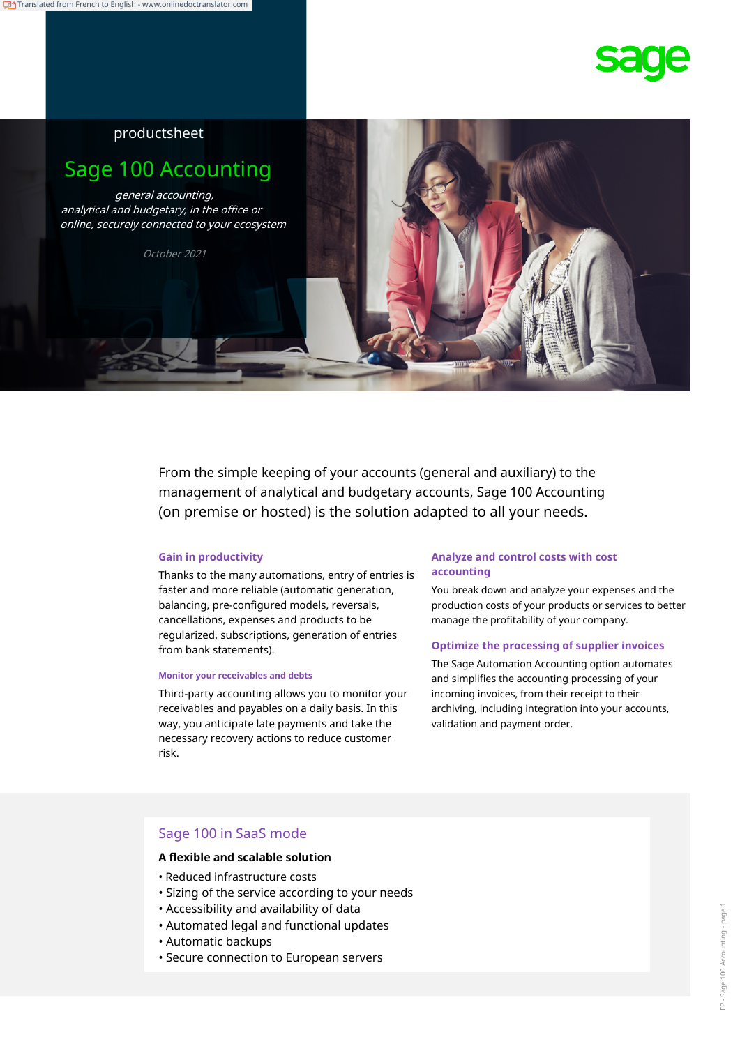

## productsheet

# Sage 100 Accounting

general accounting, analytical and budgetary, in the office or online, securely connected to your ecosystem

October 2021

From the simple keeping of your accounts (general and auxiliary) to the management of analytical and budgetary accounts, Sage 100 Accounting (on premise or hosted) is the solution adapted to all your needs.

**accounting** Thanks to the many automations, entry of entries is faster and more reliable (automatic generation, balancing, pre-configured models, reversals, cancellations, expenses and products to be regularized, subscriptions, generation of entries from bank statements).

#### **Monitor your receivables and debts**

Third-party accounting allows you to monitor your receivables and payables on a daily basis. In this way, you anticipate late payments and take the necessary recovery actions to reduce customer risk.

# **Gain in productivity Analyze and control costs with cost**

You break down and analyze your expenses and the production costs of your products or services to better manage the profitability of your company.

#### **Optimize the processing of supplier invoices**

The Sage Automation Accounting option automates and simplifies the accounting processing of your incoming invoices, from their receipt to their archiving, including integration into your accounts, validation and payment order.

#### Sage 100 in SaaS mode

#### **A flexible and scalable solution**

- Reduced infrastructure costs
- Sizing of the service according to your needs
- Accessibility and availability of data
- Automated legal and functional updates
- Automatic backups
- Secure connection to European servers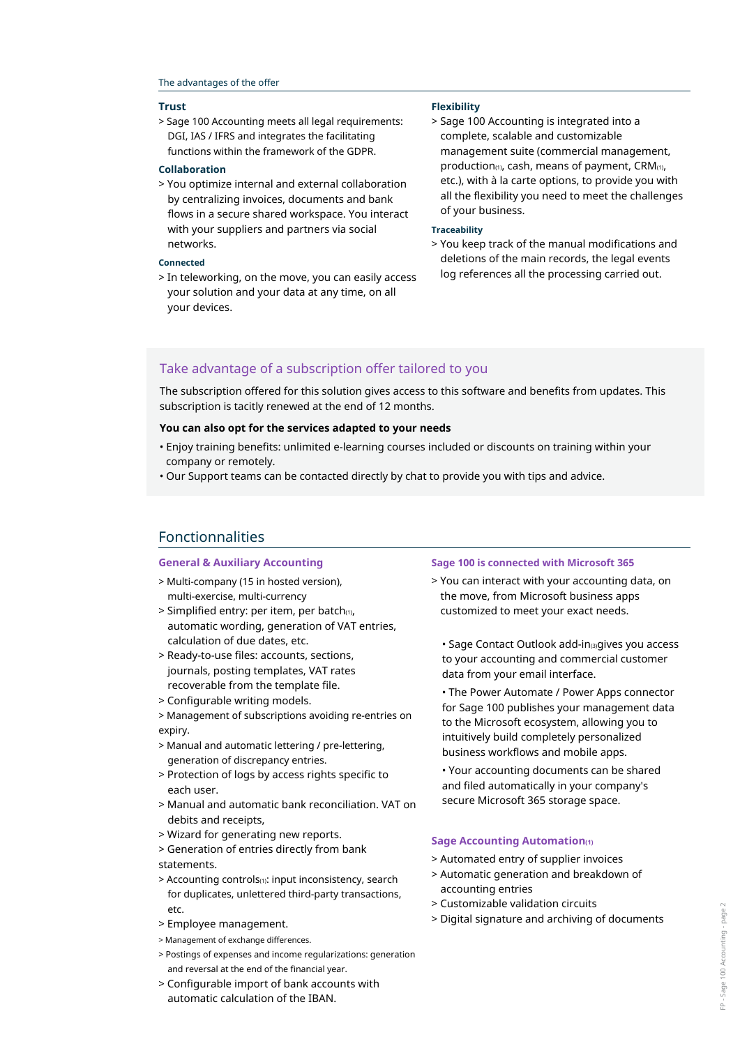#### The advantages of the offer

#### **Trust**

> Sage 100 Accounting meets all legal requirements: DGI, IAS / IFRS and integrates the facilitating functions within the framework of the GDPR.

#### **Collaboration**

> You optimize internal and external collaboration by centralizing invoices, documents and bank flows in a secure shared workspace. You interact with your suppliers and partners via social networks.

#### **Connected**

> In teleworking, on the move, you can easily access your solution and your data at any time, on all your devices.

#### **Flexibility**

> Sage 100 Accounting is integrated into a complete, scalable and customizable management suite (commercial management, production $(1)$ , cash, means of payment, CRM $(1)$ , etc.), with à la carte options, to provide you with all the flexibility you need to meet the challenges of your business.

#### **Traceability**

> You keep track of the manual modifications and deletions of the main records, the legal events log references all the processing carried out.

#### Take advantage of a subscription offer tailored to you

The subscription offered for this solution gives access to this software and benefits from updates. This subscription is tacitly renewed at the end of 12 months.

#### **You can also opt for the services adapted to your needs**

- Enjoy training benefits: unlimited e-learning courses included or discounts on training within your company or remotely.
- Our Support teams can be contacted directly by chat to provide you with tips and advice.

### Fonctionnalities

- > Multi-company (15 in hosted version), multi-exercise, multi-currency
- $>$  Simplified entry: per item, per batch $(1)$ , automatic wording, generation of VAT entries, calculation of due dates, etc.
- > Ready-to-use files: accounts, sections, journals, posting templates, VAT rates recoverable from the template file.
- > Configurable writing models.

> Management of subscriptions avoiding re-entries on expiry.

- > Manual and automatic lettering / pre-lettering, generation of discrepancy entries.
- > Protection of logs by access rights specific to each user.
- > Manual and automatic bank reconciliation. VAT on debits and receipts,
- > Wizard for generating new reports.
- > Generation of entries directly from bank statements.
- > Accounting controls(1): input inconsistency, search for duplicates, unlettered third-party transactions, etc.
- > Employee management.
- > Management of exchange differences.
- > Postings of expenses and income regularizations: generation and reversal at the end of the financial year.
- > Configurable import of bank accounts with automatic calculation of the IBAN.

#### **General & Auxiliary Accounting Sage 100 is connected with Microsoft 365**

> You can interact with your accounting data, on the move, from Microsoft business apps customized to meet your exact needs.

• Sage Contact Outlook add-in(3)gives you access to your accounting and commercial customer data from your email interface.

• The Power Automate / Power Apps connector for Sage 100 publishes your management data to the Microsoft ecosystem, allowing you to intuitively build completely personalized business workflows and mobile apps.

• Your accounting documents can be shared and filed automatically in your company's secure Microsoft 365 storage space.

#### **Sage Accounting Automation(1)**

- > Automated entry of supplier invoices
- > Automatic generation and breakdown of accounting entries
- > Customizable validation circuits
- > Digital signature and archiving of documents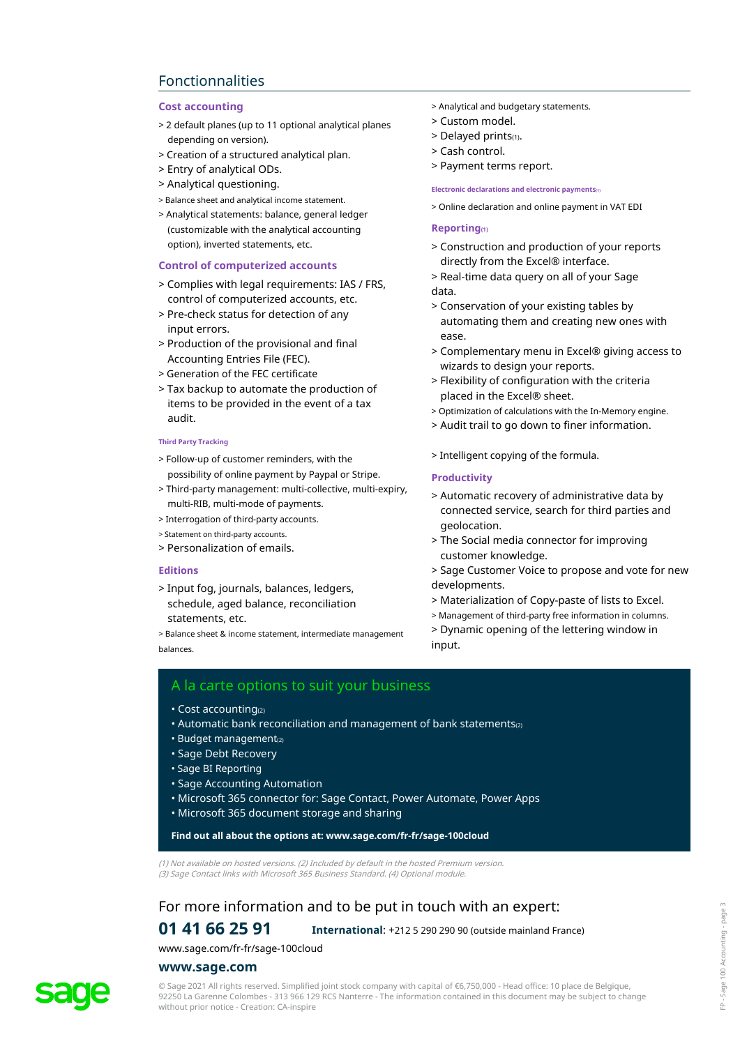# Fonctionnalities

- > 2 default planes (up to 11 optional analytical planes depending on version).
- > Creation of a structured analytical plan.
- > Entry of analytical ODs.
- > Analytical questioning.
- > Balance sheet and analytical income statement.
- > Analytical statements: balance, general ledger (customizable with the analytical accounting option), inverted statements, etc.

#### **Control of computerized accounts**

- > Complies with legal requirements: IAS / FRS, control of computerized accounts, etc.
- > Pre-check status for detection of any input errors.
- > Production of the provisional and final Accounting Entries File (FEC).
- > Generation of the FEC certificate
- > Tax backup to automate the production of items to be provided in the event of a tax audit.

#### **Third Party Tracking**

- > Follow-up of customer reminders, with the possibility of online payment by Paypal or Stripe.
- > Third-party management: multi-collective, multi-expiry, multi-RIB, multi-mode of payments.
- > Interrogation of third-party accounts.
- > Statement on third-party accounts.
- > Personalization of emails.

#### **Editions**

> Input fog, journals, balances, ledgers, schedule, aged balance, reconciliation statements, etc.

> Balance sheet & income statement, intermediate management balances.

- **Cost accounting Cost accounting**  $>$  Analytical and budgetary statements.
	- > Custom model.
	- > Delayed prints(1).
	- > Cash control.
	- > Payment terms report.

**Electronic declarations and electronic payments(1)**

> Online declaration and online payment in VAT EDI

#### **Reporting(1)**

- > Construction and production of your reports directly from the Excel® interface.
- > Real-time data query on all of your Sage data.
- > Conservation of your existing tables by automating them and creating new ones with ease.
- > Complementary menu in Excel® giving access to wizards to design your reports.
- > Flexibility of configuration with the criteria placed in the Excel® sheet.
- > Optimization of calculations with the In-Memory engine.
- > Audit trail to go down to finer information.
- > Intelligent copying of the formula.

#### **Productivity**

- > Automatic recovery of administrative data by connected service, search for third parties and geolocation.
- > The Social media connector for improving customer knowledge.
- > Sage Customer Voice to propose and vote for new developments.
- > Materialization of Copy-paste of lists to Excel.
- > Management of third-party free information in columns.
- > Dynamic opening of the lettering window in input.

### A la carte options to suit your business

- Cost accounting(2)
- Automatic bank reconciliation and management of bank statements<sup>(2)</sup>
- $\cdot$  Budget management $_{(2)}$
- Sage Debt Recovery
- Sage BI Reporting
- Sage Accounting Automation
- Microsoft 365 connector for: Sage Contact, Power Automate, Power Apps
- Microsoft 365 document storage and sharing

#### **Find out all about the options at: www.sage.com/fr-fr/sage-100cloud**

(1) Not available on hosted versions. (2) Included by default in the hosted Premium version. (3) Sage Contact links with Microsoft 365 Business Standard. (4) Optional module.

## For more information and to be put in touch with an expert:

### **01 41 66 25 91 International**: +212 5 290 290 90 (outside mainland France)

#### www.sage.com/fr-fr/sage-100cloud

#### **www.sage.com**